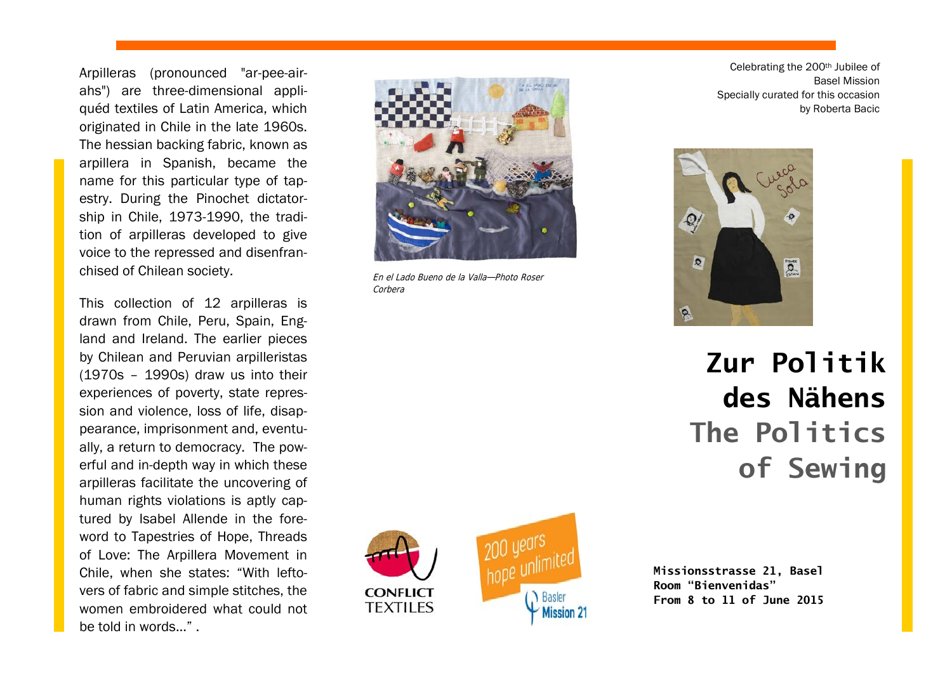Arpilleras (pronounced "ar-pee-airahs") are three-dimensional appliquéd textiles of Latin America, which originated in Chile in the late 1960s. The hessian backing fabric, known as arpillera in Spanish, became the name for this particular type of tapestry. During the Pinochet dictatorship in Chile, 1973-1990, the tradition of arpilleras developed to give voice to the repressed and disenfranchised of Chilean society.

This collection of 12 arpilleras is drawn from Chile, Peru, Spain, England and Ireland. The earlier pieces by Chilean and Peruvian arpilleristas (1970s – 1990s) draw us into their experiences of poverty, state repression and violence, loss of life, disappearance, imprisonment and, eventually, a return to democracy. The powerful and in-depth way in which these arpilleras facilitate the uncovering of human rights violations is aptly captured by Isabel Allende in the foreword to Tapestries of Hope, Threads of Love: The Arpillera Movement in Chile, when she states: "With leftovers of fabric and simple stitches, the women embroidered what could not be told in words  $\mathbb{R}$ 



En el Lado Bueno de la Valla—Photo Roser Corbera

Celebrating the 200th Jubilee of Basel Mission Specially curated for this occasion by Roberta Bacic



# **Zur Politik des Nähens The Politics of Sewing**





**Missionsstrasse 21, Basel Room "Bienvenidas" From 8 to 11 of June 2015**